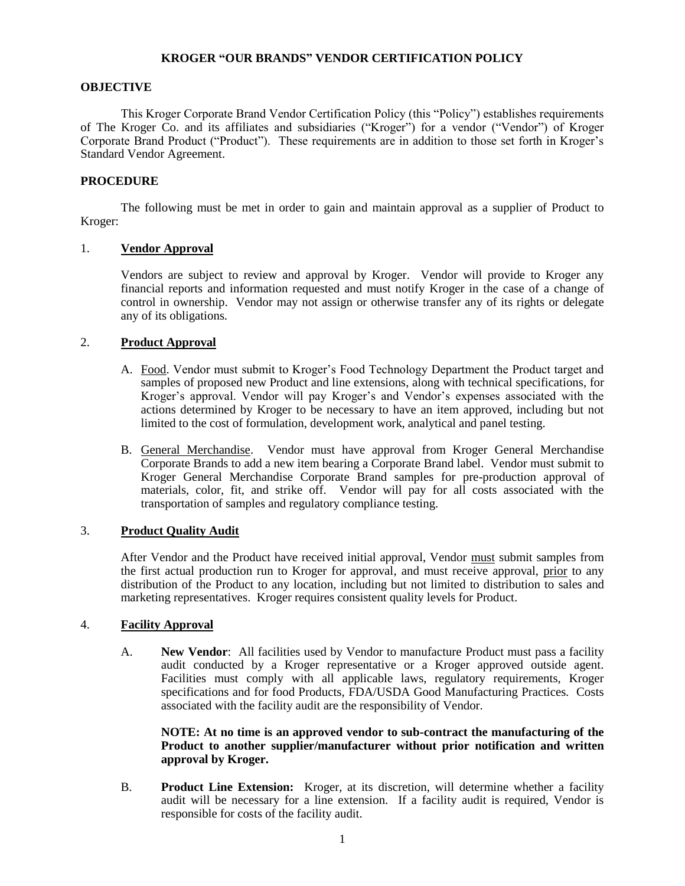### **KROGER "OUR BRANDS" VENDOR CERTIFICATION POLICY**

# **OBJECTIVE**

This Kroger Corporate Brand Vendor Certification Policy (this "Policy") establishes requirements of The Kroger Co. and its affiliates and subsidiaries ("Kroger") for a vendor ("Vendor") of Kroger Corporate Brand Product ("Product"). These requirements are in addition to those set forth in Kroger's Standard Vendor Agreement.

# **PROCEDURE**

The following must be met in order to gain and maintain approval as a supplier of Product to Kroger:

# 1. **Vendor Approval**

Vendors are subject to review and approval by Kroger. Vendor will provide to Kroger any financial reports and information requested and must notify Kroger in the case of a change of control in ownership. Vendor may not assign or otherwise transfer any of its rights or delegate any of its obligations.

# 2. **Product Approval**

- A. Food. Vendor must submit to Kroger's Food Technology Department the Product target and samples of proposed new Product and line extensions, along with technical specifications, for Kroger's approval. Vendor will pay Kroger's and Vendor's expenses associated with the actions determined by Kroger to be necessary to have an item approved, including but not limited to the cost of formulation, development work, analytical and panel testing.
- B. General Merchandise. Vendor must have approval from Kroger General Merchandise Corporate Brands to add a new item bearing a Corporate Brand label. Vendor must submit to Kroger General Merchandise Corporate Brand samples for pre-production approval of materials, color, fit, and strike off. Vendor will pay for all costs associated with the transportation of samples and regulatory compliance testing.

## 3. **Product Quality Audit**

After Vendor and the Product have received initial approval, Vendor must submit samples from the first actual production run to Kroger for approval, and must receive approval, prior to any distribution of the Product to any location, including but not limited to distribution to sales and marketing representatives. Kroger requires consistent quality levels for Product.

#### 4. **Facility Approval**

A. **New Vendor**: All facilities used by Vendor to manufacture Product must pass a facility audit conducted by a Kroger representative or a Kroger approved outside agent. Facilities must comply with all applicable laws, regulatory requirements, Kroger specifications and for food Products, FDA/USDA Good Manufacturing Practices. Costs associated with the facility audit are the responsibility of Vendor.

# **NOTE: At no time is an approved vendor to sub-contract the manufacturing of the Product to another supplier/manufacturer without prior notification and written approval by Kroger.**

B. **Product Line Extension:** Kroger, at its discretion, will determine whether a facility audit will be necessary for a line extension. If a facility audit is required, Vendor is responsible for costs of the facility audit.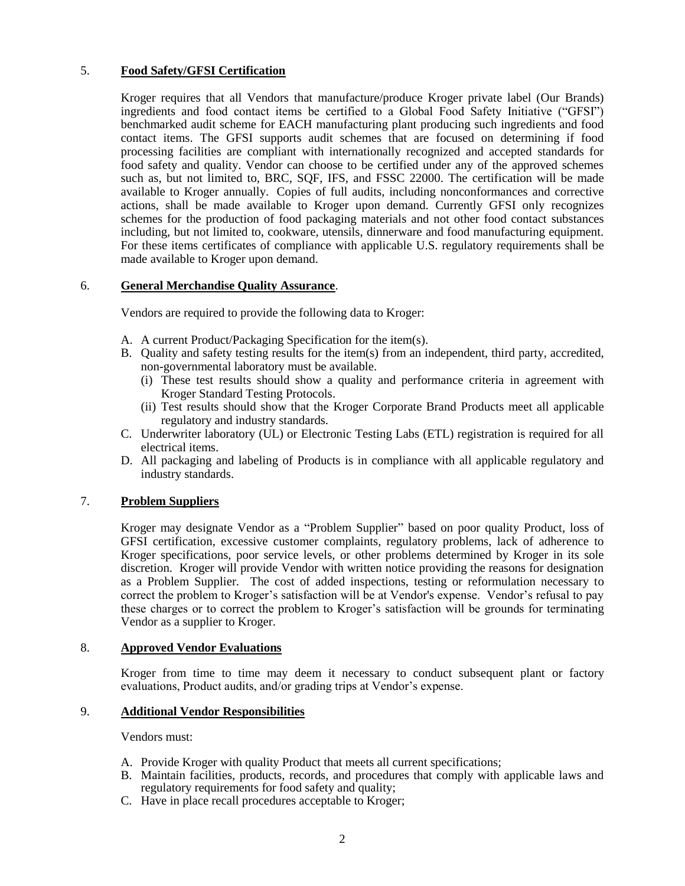# 5. **Food Safety/GFSI Certification**

Kroger requires that all Vendors that manufacture/produce Kroger private label (Our Brands) ingredients and food contact items be certified to a Global Food Safety Initiative ("GFSI") benchmarked audit scheme for EACH manufacturing plant producing such ingredients and food contact items. The GFSI supports audit schemes that are focused on determining if food processing facilities are compliant with internationally recognized and accepted standards for food safety and quality. Vendor can choose to be certified under any of the approved schemes such as, but not limited to, BRC, SQF, IFS, and FSSC 22000. The certification will be made available to Kroger annually. Copies of full audits, including nonconformances and corrective actions, shall be made available to Kroger upon demand. Currently GFSI only recognizes schemes for the production of food packaging materials and not other food contact substances including, but not limited to, cookware, utensils, dinnerware and food manufacturing equipment. For these items certificates of compliance with applicable U.S. regulatory requirements shall be made available to Kroger upon demand.

# 6. **General Merchandise Quality Assurance**.

Vendors are required to provide the following data to Kroger:

- A. A current Product/Packaging Specification for the item(s).
- B. Quality and safety testing results for the item(s) from an independent, third party, accredited, non-governmental laboratory must be available.
	- (i) These test results should show a quality and performance criteria in agreement with Kroger Standard Testing Protocols.
	- (ii) Test results should show that the Kroger Corporate Brand Products meet all applicable regulatory and industry standards.
- C. Underwriter laboratory (UL) or Electronic Testing Labs (ETL) registration is required for all electrical items.
- D. All packaging and labeling of Products is in compliance with all applicable regulatory and industry standards.

# 7. **Problem Suppliers**

Kroger may designate Vendor as a "Problem Supplier" based on poor quality Product, loss of GFSI certification, excessive customer complaints, regulatory problems, lack of adherence to Kroger specifications, poor service levels, or other problems determined by Kroger in its sole discretion. Kroger will provide Vendor with written notice providing the reasons for designation as a Problem Supplier. The cost of added inspections, testing or reformulation necessary to correct the problem to Kroger's satisfaction will be at Vendor's expense. Vendor's refusal to pay these charges or to correct the problem to Kroger's satisfaction will be grounds for terminating Vendor as a supplier to Kroger.

# 8. **Approved Vendor Evaluations**

Kroger from time to time may deem it necessary to conduct subsequent plant or factory evaluations, Product audits, and/or grading trips at Vendor's expense.

#### 9. **Additional Vendor Responsibilities**

Vendors must:

- A. Provide Kroger with quality Product that meets all current specifications;
- B. Maintain facilities, products, records, and procedures that comply with applicable laws and regulatory requirements for food safety and quality;
- C. Have in place recall procedures acceptable to Kroger;